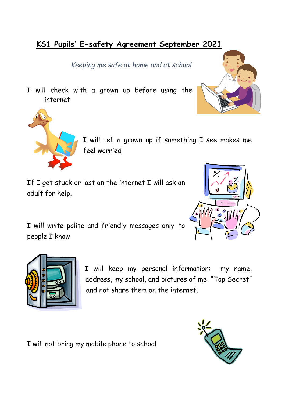# **KS1 Pupils' E-safety Agreement September 2021**

*Keeping me safe at home and at school*

I will check with a grown up before using the internet





I will tell a grown up if something I see makes me feel worried

If I get stuck or lost on the internet I will ask an adult for help.



I will write polite and friendly messages only to people I know



I will keep my personal information: my name, address, my school, and pictures of me "Top Secret" and not share them on the internet.

I will not bring my mobile phone to school

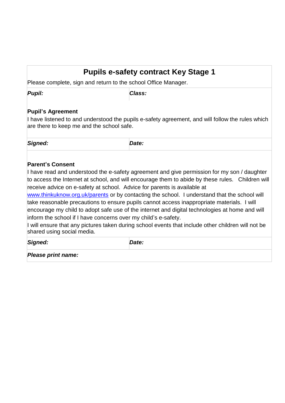## **Pupils e-safety contract Key Stage 1**

Please complete, sign and return to the school Office Manager.

*Pupil: Class:* 

## **Pupil's Agreement**

I have listened to and understood the pupils e-safety agreement, and will follow the rules which are there to keep me and the school safe.

*Signed: Date:* 

### **Parent's Consent**

I have read and understood the e-safety agreement and give permission for my son / daughter to access the Internet at school, and will encourage them to abide by these rules. Children will receive advice on e-safety at school. Advice for parents is available at

[www.thinkuknow.org.uk/parents](http://www.thinkuknow.org.uk/parents) or by contacting the school. I understand that the school will take reasonable precautions to ensure pupils cannot access inappropriate materials. I will encourage my child to adopt safe use of the internet and digital technologies at home and will inform the school if I have concerns over my child's e-safety.

I will ensure that any pictures taken during school events that include other children will not be shared using social media.

*Signed: Date:* 

*Please print name:*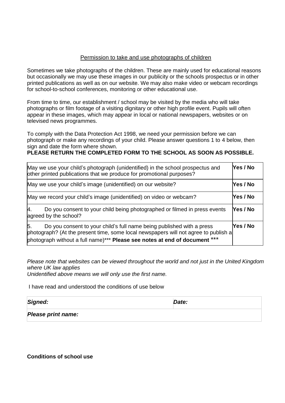#### Permission to take and use photographs of children

Sometimes we take photographs of the children. These are mainly used for educational reasons but occasionally we may use these images in our publicity or the schools prospectus or in other printed publications as well as on our website. We may also make video or webcam recordings for school-to-school conferences, monitoring or other educational use.

From time to time, our establishment / school may be visited by the media who will take photographs or film footage of a visiting dignitary or other high profile event. Pupils will often appear in these images, which may appear in local or national newspapers, websites or on televised news programmes.

To comply with the Data Protection Act 1998, we need your permission before we can photograph or make any recordings of your child. Please answer questions 1 to 4 below, then sign and date the form where shown.

#### **PLEASE RETURN THE COMPLETED FORM TO THE SCHOOL AS SOON AS POSSIBLE.**

| May we use your child's photograph (unidentified) in the school prospectus and<br>other printed publications that we produce for promotional purposes?                                                                                            | Yes / No |
|---------------------------------------------------------------------------------------------------------------------------------------------------------------------------------------------------------------------------------------------------|----------|
| May we use your child's image (unidentified) on our website?                                                                                                                                                                                      | Yes / No |
| May we record your child's image (unidentified) on video or webcam?                                                                                                                                                                               | Yes / No |
| Do you consent to your child being photographed or filmed in press events<br>Ι4.<br>agreed by the school?                                                                                                                                         | Yes / No |
| Do you consent to your child's full name being published with a press<br>15.<br>photograph? (At the present time, some local newspapers will not agree to publish a<br>photograph without a full name)*** Please see notes at end of document *** | Yes / No |

*Please note that websites can be viewed throughout the world and not just in the United Kingdom where UK law applies* 

*Unidentified above means we will only use the first name.* 

I have read and understood the conditions of use below

| Signed: | Date: |
|---------|-------|
|---------|-------|

**Conditions of school use**